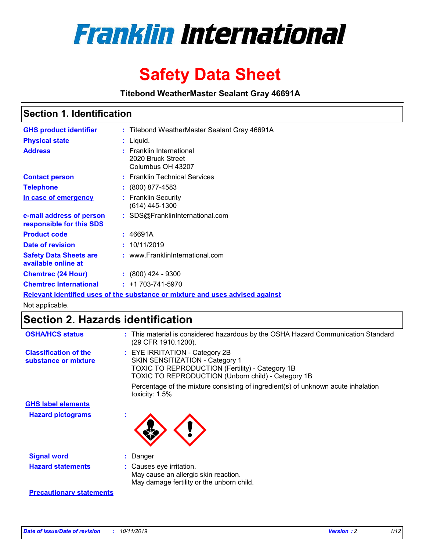

# **Safety Data Sheet**

**Titebond WeatherMaster Sealant Gray 46691A**

### **Section 1. Identification**

| <b>GHS product identifier</b>                        | : Titebond WeatherMaster Sealant Gray 46691A                                  |
|------------------------------------------------------|-------------------------------------------------------------------------------|
| <b>Physical state</b>                                | : Liquid.                                                                     |
| <b>Address</b>                                       | : Franklin International<br>2020 Bruck Street<br>Columbus OH 43207            |
| <b>Contact person</b>                                | : Franklin Technical Services                                                 |
| <b>Telephone</b>                                     | $\colon$ (800) 877-4583                                                       |
| In case of emergency                                 | : Franklin Security<br>(614) 445-1300                                         |
| e-mail address of person<br>responsible for this SDS | : SDS@FranklinInternational.com                                               |
| <b>Product code</b>                                  | : 46691A                                                                      |
| Date of revision                                     | : 10/11/2019                                                                  |
| <b>Safety Data Sheets are</b><br>available online at | : www.FranklinInternational.com                                               |
| <b>Chemtrec (24 Hour)</b>                            | $: (800)$ 424 - 9300                                                          |
| <b>Chemtrec International</b>                        | $: +1703 - 741 - 5970$                                                        |
|                                                      | Relevant identified uses of the substance or mixture and uses advised against |

Not applicable.

## **Section 2. Hazards identification**

| <b>OSHA/HCS status</b>                               | : This material is considered hazardous by the OSHA Hazard Communication Standard<br>(29 CFR 1910.1200).                                                                          |
|------------------------------------------------------|-----------------------------------------------------------------------------------------------------------------------------------------------------------------------------------|
| <b>Classification of the</b><br>substance or mixture | : EYE IRRITATION - Category 2B<br>SKIN SENSITIZATION - Category 1<br><b>TOXIC TO REPRODUCTION (Fertility) - Category 1B</b><br>TOXIC TO REPRODUCTION (Unborn child) - Category 1B |
|                                                      | Percentage of the mixture consisting of ingredient(s) of unknown acute inhalation<br>toxicity: $1.5\%$                                                                            |
| <b>GHS label elements</b>                            |                                                                                                                                                                                   |
| <b>Hazard pictograms</b>                             |                                                                                                                                                                                   |
| <b>Signal word</b>                                   | : Danger                                                                                                                                                                          |
| <b>Hazard statements</b>                             | : Causes eye irritation.<br>May cause an allergic skin reaction.<br>May damage fertility or the unborn child.                                                                     |
| <b>Precautionary statements</b>                      |                                                                                                                                                                                   |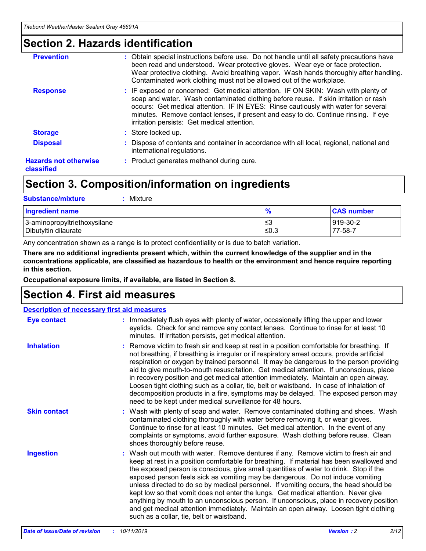### **Section 2. Hazards identification**

| <b>Prevention</b>                          | : Obtain special instructions before use. Do not handle until all safety precautions have<br>been read and understood. Wear protective gloves. Wear eye or face protection.<br>Wear protective clothing. Avoid breathing vapor. Wash hands thoroughly after handling.<br>Contaminated work clothing must not be allowed out of the workplace.                                                        |
|--------------------------------------------|------------------------------------------------------------------------------------------------------------------------------------------------------------------------------------------------------------------------------------------------------------------------------------------------------------------------------------------------------------------------------------------------------|
| <b>Response</b>                            | : IF exposed or concerned: Get medical attention. IF ON SKIN: Wash with plenty of<br>soap and water. Wash contaminated clothing before reuse. If skin irritation or rash<br>occurs: Get medical attention. IF IN EYES: Rinse cautiously with water for several<br>minutes. Remove contact lenses, if present and easy to do. Continue rinsing. If eye<br>irritation persists: Get medical attention. |
| <b>Storage</b>                             | : Store locked up.                                                                                                                                                                                                                                                                                                                                                                                   |
| <b>Disposal</b>                            | : Dispose of contents and container in accordance with all local, regional, national and<br>international regulations.                                                                                                                                                                                                                                                                               |
| <b>Hazards not otherwise</b><br>classified | : Product generates methanol during cure.                                                                                                                                                                                                                                                                                                                                                            |
|                                            |                                                                                                                                                                                                                                                                                                                                                                                                      |

### **Section 3. Composition/information on ingredients**

| <b>Substance/mixture</b><br>Mixture                  |               |                     |
|------------------------------------------------------|---------------|---------------------|
| <b>Ingredient name</b>                               | $\frac{9}{6}$ | <b>CAS number</b>   |
| 3-aminopropyltriethoxysilane<br>Dibutyltin dilaurate | ≤3<br>≤0.3    | 919-30-2<br>77-58-7 |

Any concentration shown as a range is to protect confidentiality or is due to batch variation.

**There are no additional ingredients present which, within the current knowledge of the supplier and in the concentrations applicable, are classified as hazardous to health or the environment and hence require reporting in this section.**

**Occupational exposure limits, if available, are listed in Section 8.**

### **Section 4. First aid measures**

| <b>Description of necessary first aid measures</b> |                                                                                                                                                                                                                                                                                                                                                                                                                                                                                                                                                                                                                                                                                                                                                                           |  |  |  |
|----------------------------------------------------|---------------------------------------------------------------------------------------------------------------------------------------------------------------------------------------------------------------------------------------------------------------------------------------------------------------------------------------------------------------------------------------------------------------------------------------------------------------------------------------------------------------------------------------------------------------------------------------------------------------------------------------------------------------------------------------------------------------------------------------------------------------------------|--|--|--|
| <b>Eye contact</b>                                 | : Immediately flush eyes with plenty of water, occasionally lifting the upper and lower<br>eyelids. Check for and remove any contact lenses. Continue to rinse for at least 10<br>minutes. If irritation persists, get medical attention.                                                                                                                                                                                                                                                                                                                                                                                                                                                                                                                                 |  |  |  |
| <b>Inhalation</b>                                  | : Remove victim to fresh air and keep at rest in a position comfortable for breathing. If<br>not breathing, if breathing is irregular or if respiratory arrest occurs, provide artificial<br>respiration or oxygen by trained personnel. It may be dangerous to the person providing<br>aid to give mouth-to-mouth resuscitation. Get medical attention. If unconscious, place<br>in recovery position and get medical attention immediately. Maintain an open airway.<br>Loosen tight clothing such as a collar, tie, belt or waistband. In case of inhalation of<br>decomposition products in a fire, symptoms may be delayed. The exposed person may<br>need to be kept under medical surveillance for 48 hours.                                                       |  |  |  |
| <b>Skin contact</b>                                | : Wash with plenty of soap and water. Remove contaminated clothing and shoes. Wash<br>contaminated clothing thoroughly with water before removing it, or wear gloves.<br>Continue to rinse for at least 10 minutes. Get medical attention. In the event of any<br>complaints or symptoms, avoid further exposure. Wash clothing before reuse. Clean<br>shoes thoroughly before reuse.                                                                                                                                                                                                                                                                                                                                                                                     |  |  |  |
| <b>Ingestion</b>                                   | : Wash out mouth with water. Remove dentures if any. Remove victim to fresh air and<br>keep at rest in a position comfortable for breathing. If material has been swallowed and<br>the exposed person is conscious, give small quantities of water to drink. Stop if the<br>exposed person feels sick as vomiting may be dangerous. Do not induce vomiting<br>unless directed to do so by medical personnel. If vomiting occurs, the head should be<br>kept low so that vomit does not enter the lungs. Get medical attention. Never give<br>anything by mouth to an unconscious person. If unconscious, place in recovery position<br>and get medical attention immediately. Maintain an open airway. Loosen tight clothing<br>such as a collar, tie, belt or waistband. |  |  |  |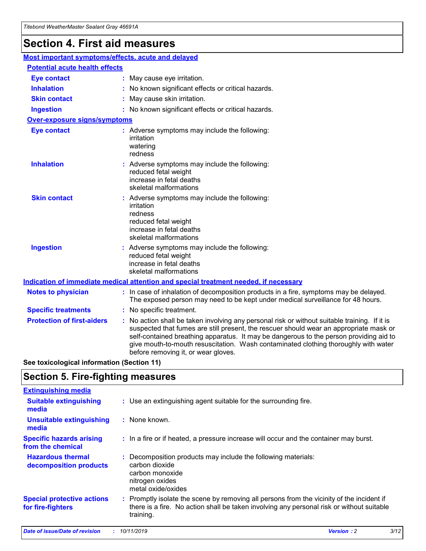## **Section 4. First aid measures**

| Most important symptoms/effects, acute and delayed |                                       |                                                                                                                                                                                                                                                                                                                                                                                                                 |  |  |  |
|----------------------------------------------------|---------------------------------------|-----------------------------------------------------------------------------------------------------------------------------------------------------------------------------------------------------------------------------------------------------------------------------------------------------------------------------------------------------------------------------------------------------------------|--|--|--|
|                                                    | <b>Potential acute health effects</b> |                                                                                                                                                                                                                                                                                                                                                                                                                 |  |  |  |
| <b>Eye contact</b>                                 |                                       | : May cause eye irritation.                                                                                                                                                                                                                                                                                                                                                                                     |  |  |  |
| <b>Inhalation</b>                                  |                                       | : No known significant effects or critical hazards.                                                                                                                                                                                                                                                                                                                                                             |  |  |  |
| <b>Skin contact</b>                                |                                       | : May cause skin irritation.                                                                                                                                                                                                                                                                                                                                                                                    |  |  |  |
| <b>Ingestion</b>                                   |                                       | : No known significant effects or critical hazards.                                                                                                                                                                                                                                                                                                                                                             |  |  |  |
| Over-exposure signs/symptoms                       |                                       |                                                                                                                                                                                                                                                                                                                                                                                                                 |  |  |  |
| <b>Eye contact</b>                                 |                                       | : Adverse symptoms may include the following:<br>irritation<br>watering<br>redness                                                                                                                                                                                                                                                                                                                              |  |  |  |
| <b>Inhalation</b>                                  |                                       | : Adverse symptoms may include the following:<br>reduced fetal weight<br>increase in fetal deaths<br>skeletal malformations                                                                                                                                                                                                                                                                                     |  |  |  |
| <b>Skin contact</b>                                |                                       | : Adverse symptoms may include the following:<br>irritation<br>redness<br>reduced fetal weight<br>increase in fetal deaths<br>skeletal malformations                                                                                                                                                                                                                                                            |  |  |  |
| <b>Ingestion</b>                                   |                                       | : Adverse symptoms may include the following:<br>reduced fetal weight<br>increase in fetal deaths<br>skeletal malformations                                                                                                                                                                                                                                                                                     |  |  |  |
|                                                    |                                       | <b>Indication of immediate medical attention and special treatment needed, if necessary</b>                                                                                                                                                                                                                                                                                                                     |  |  |  |
| <b>Notes to physician</b>                          |                                       | : In case of inhalation of decomposition products in a fire, symptoms may be delayed.<br>The exposed person may need to be kept under medical surveillance for 48 hours.                                                                                                                                                                                                                                        |  |  |  |
| <b>Specific treatments</b>                         |                                       | : No specific treatment.                                                                                                                                                                                                                                                                                                                                                                                        |  |  |  |
| <b>Protection of first-aiders</b>                  |                                       | : No action shall be taken involving any personal risk or without suitable training. If it is<br>suspected that fumes are still present, the rescuer should wear an appropriate mask or<br>self-contained breathing apparatus. It may be dangerous to the person providing aid to<br>give mouth-to-mouth resuscitation. Wash contaminated clothing thoroughly with water<br>before removing it, or wear gloves. |  |  |  |

**See toxicological information (Section 11)**

### **Section 5. Fire-fighting measures**

| <b>Extinguishing media</b>                             |                                                                                                                                                                                                     |
|--------------------------------------------------------|-----------------------------------------------------------------------------------------------------------------------------------------------------------------------------------------------------|
| <b>Suitable extinguishing</b><br>media                 | : Use an extinguishing agent suitable for the surrounding fire.                                                                                                                                     |
| <b>Unsuitable extinguishing</b><br>media               | $:$ None known.                                                                                                                                                                                     |
| <b>Specific hazards arising</b><br>from the chemical   | : In a fire or if heated, a pressure increase will occur and the container may burst.                                                                                                               |
| <b>Hazardous thermal</b><br>decomposition products     | : Decomposition products may include the following materials:<br>carbon dioxide<br>carbon monoxide<br>nitrogen oxides<br>metal oxide/oxides                                                         |
| <b>Special protective actions</b><br>for fire-fighters | : Promptly isolate the scene by removing all persons from the vicinity of the incident if<br>there is a fire. No action shall be taken involving any personal risk or without suitable<br>training. |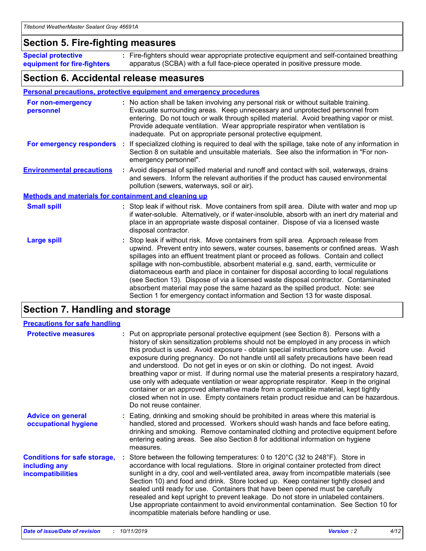### **Section 5. Fire-fighting measures**

**Special protective equipment for fire-fighters** Fire-fighters should wear appropriate protective equipment and self-contained breathing **:** apparatus (SCBA) with a full face-piece operated in positive pressure mode.

### **Section 6. Accidental release measures**

#### **Personal precautions, protective equipment and emergency procedures**

| For non-emergency<br>personnel                               | : No action shall be taken involving any personal risk or without suitable training.<br>Evacuate surrounding areas. Keep unnecessary and unprotected personnel from<br>entering. Do not touch or walk through spilled material. Avoid breathing vapor or mist.<br>Provide adequate ventilation. Wear appropriate respirator when ventilation is<br>inadequate. Put on appropriate personal protective equipment.                                                                                                                                                                                                                                                                                             |
|--------------------------------------------------------------|--------------------------------------------------------------------------------------------------------------------------------------------------------------------------------------------------------------------------------------------------------------------------------------------------------------------------------------------------------------------------------------------------------------------------------------------------------------------------------------------------------------------------------------------------------------------------------------------------------------------------------------------------------------------------------------------------------------|
| For emergency responders                                     | : If specialized clothing is required to deal with the spillage, take note of any information in<br>Section 8 on suitable and unsuitable materials. See also the information in "For non-<br>emergency personnel".                                                                                                                                                                                                                                                                                                                                                                                                                                                                                           |
| <b>Environmental precautions</b>                             | : Avoid dispersal of spilled material and runoff and contact with soil, waterways, drains<br>and sewers. Inform the relevant authorities if the product has caused environmental<br>pollution (sewers, waterways, soil or air).                                                                                                                                                                                                                                                                                                                                                                                                                                                                              |
| <b>Methods and materials for containment and cleaning up</b> |                                                                                                                                                                                                                                                                                                                                                                                                                                                                                                                                                                                                                                                                                                              |
| <b>Small spill</b>                                           | : Stop leak if without risk. Move containers from spill area. Dilute with water and mop up<br>if water-soluble. Alternatively, or if water-insoluble, absorb with an inert dry material and<br>place in an appropriate waste disposal container. Dispose of via a licensed waste<br>disposal contractor.                                                                                                                                                                                                                                                                                                                                                                                                     |
| <b>Large spill</b>                                           | : Stop leak if without risk. Move containers from spill area. Approach release from<br>upwind. Prevent entry into sewers, water courses, basements or confined areas. Wash<br>spillages into an effluent treatment plant or proceed as follows. Contain and collect<br>spillage with non-combustible, absorbent material e.g. sand, earth, vermiculite or<br>diatomaceous earth and place in container for disposal according to local regulations<br>(see Section 13). Dispose of via a licensed waste disposal contractor. Contaminated<br>absorbent material may pose the same hazard as the spilled product. Note: see<br>Section 1 for emergency contact information and Section 13 for waste disposal. |

### **Section 7. Handling and storage**

| <b>Precautions for safe handling</b>                                             |                                                                                                                                                                                                                                                                                                                                                                                                                                                                                                                                                                                                                                                                                                                                                                                                                                                  |
|----------------------------------------------------------------------------------|--------------------------------------------------------------------------------------------------------------------------------------------------------------------------------------------------------------------------------------------------------------------------------------------------------------------------------------------------------------------------------------------------------------------------------------------------------------------------------------------------------------------------------------------------------------------------------------------------------------------------------------------------------------------------------------------------------------------------------------------------------------------------------------------------------------------------------------------------|
| <b>Protective measures</b>                                                       | : Put on appropriate personal protective equipment (see Section 8). Persons with a<br>history of skin sensitization problems should not be employed in any process in which<br>this product is used. Avoid exposure - obtain special instructions before use. Avoid<br>exposure during pregnancy. Do not handle until all safety precautions have been read<br>and understood. Do not get in eyes or on skin or clothing. Do not ingest. Avoid<br>breathing vapor or mist. If during normal use the material presents a respiratory hazard,<br>use only with adequate ventilation or wear appropriate respirator. Keep in the original<br>container or an approved alternative made from a compatible material, kept tightly<br>closed when not in use. Empty containers retain product residue and can be hazardous.<br>Do not reuse container. |
| <b>Advice on general</b><br>occupational hygiene                                 | : Eating, drinking and smoking should be prohibited in areas where this material is<br>handled, stored and processed. Workers should wash hands and face before eating,<br>drinking and smoking. Remove contaminated clothing and protective equipment before<br>entering eating areas. See also Section 8 for additional information on hygiene<br>measures.                                                                                                                                                                                                                                                                                                                                                                                                                                                                                    |
| <b>Conditions for safe storage,</b><br>including any<br><b>incompatibilities</b> | Store between the following temperatures: 0 to 120°C (32 to 248°F). Store in<br>accordance with local regulations. Store in original container protected from direct<br>sunlight in a dry, cool and well-ventilated area, away from incompatible materials (see<br>Section 10) and food and drink. Store locked up. Keep container tightly closed and<br>sealed until ready for use. Containers that have been opened must be carefully<br>resealed and kept upright to prevent leakage. Do not store in unlabeled containers.<br>Use appropriate containment to avoid environmental contamination. See Section 10 for<br>incompatible materials before handling or use.                                                                                                                                                                         |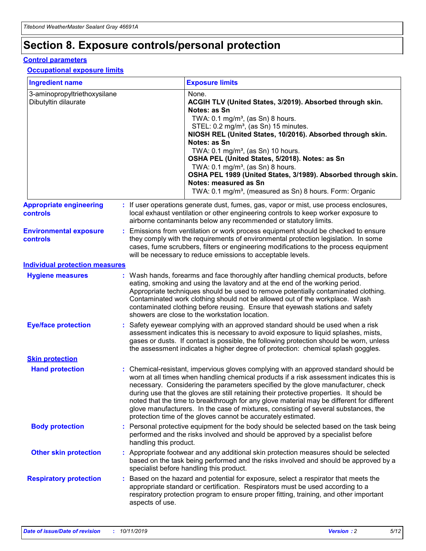## **Section 8. Exposure controls/personal protection**

#### **Control parameters**

#### **Occupational exposure limits**

| <b>Ingredient name</b>                               |    |                        | <b>Exposure limits</b>                                                                                                                                                                                                                                                                                                                                                                                                                                                                                                                                                                                                 |
|------------------------------------------------------|----|------------------------|------------------------------------------------------------------------------------------------------------------------------------------------------------------------------------------------------------------------------------------------------------------------------------------------------------------------------------------------------------------------------------------------------------------------------------------------------------------------------------------------------------------------------------------------------------------------------------------------------------------------|
| 3-aminopropyltriethoxysilane<br>Dibutyltin dilaurate |    |                        | None.<br>ACGIH TLV (United States, 3/2019). Absorbed through skin.<br>Notes: as Sn<br>TWA: $0.1 \text{ mg/m}^3$ , (as Sn) 8 hours.<br>STEL: 0.2 mg/m <sup>3</sup> , (as Sn) 15 minutes.<br>NIOSH REL (United States, 10/2016). Absorbed through skin.<br>Notes: as Sn<br>TWA: 0.1 mg/m <sup>3</sup> , (as Sn) 10 hours.<br>OSHA PEL (United States, 5/2018). Notes: as Sn<br>TWA: $0.1 \text{ mg/m}^3$ , (as Sn) 8 hours.<br>OSHA PEL 1989 (United States, 3/1989). Absorbed through skin.<br>Notes: measured as Sn<br>TWA: 0.1 mg/m <sup>3</sup> , (measured as Sn) 8 hours. Form: Organic                            |
| <b>Appropriate engineering</b><br>controls           |    |                        | : If user operations generate dust, fumes, gas, vapor or mist, use process enclosures,<br>local exhaust ventilation or other engineering controls to keep worker exposure to<br>airborne contaminants below any recommended or statutory limits.                                                                                                                                                                                                                                                                                                                                                                       |
| <b>Environmental exposure</b><br>controls            |    |                        | Emissions from ventilation or work process equipment should be checked to ensure<br>they comply with the requirements of environmental protection legislation. In some<br>cases, fume scrubbers, filters or engineering modifications to the process equipment<br>will be necessary to reduce emissions to acceptable levels.                                                                                                                                                                                                                                                                                          |
| <b>Individual protection measures</b>                |    |                        |                                                                                                                                                                                                                                                                                                                                                                                                                                                                                                                                                                                                                        |
| <b>Hygiene measures</b>                              |    |                        | : Wash hands, forearms and face thoroughly after handling chemical products, before<br>eating, smoking and using the lavatory and at the end of the working period.<br>Appropriate techniques should be used to remove potentially contaminated clothing.<br>Contaminated work clothing should not be allowed out of the workplace. Wash<br>contaminated clothing before reusing. Ensure that eyewash stations and safety<br>showers are close to the workstation location.                                                                                                                                            |
| <b>Eye/face protection</b>                           |    |                        | : Safety eyewear complying with an approved standard should be used when a risk<br>assessment indicates this is necessary to avoid exposure to liquid splashes, mists,<br>gases or dusts. If contact is possible, the following protection should be worn, unless<br>the assessment indicates a higher degree of protection: chemical splash goggles.                                                                                                                                                                                                                                                                  |
| <b>Skin protection</b>                               |    |                        |                                                                                                                                                                                                                                                                                                                                                                                                                                                                                                                                                                                                                        |
| <b>Hand protection</b>                               |    |                        | : Chemical-resistant, impervious gloves complying with an approved standard should be<br>worn at all times when handling chemical products if a risk assessment indicates this is<br>necessary. Considering the parameters specified by the glove manufacturer, check<br>during use that the gloves are still retaining their protective properties. It should be<br>noted that the time to breakthrough for any glove material may be different for different<br>glove manufacturers. In the case of mixtures, consisting of several substances, the<br>protection time of the gloves cannot be accurately estimated. |
| <b>Body protection</b>                               |    | handling this product. | Personal protective equipment for the body should be selected based on the task being<br>performed and the risks involved and should be approved by a specialist before                                                                                                                                                                                                                                                                                                                                                                                                                                                |
| <b>Other skin protection</b>                         |    |                        | : Appropriate footwear and any additional skin protection measures should be selected<br>based on the task being performed and the risks involved and should be approved by a<br>specialist before handling this product.                                                                                                                                                                                                                                                                                                                                                                                              |
| <b>Respiratory protection</b>                        | ÷. | aspects of use.        | Based on the hazard and potential for exposure, select a respirator that meets the<br>appropriate standard or certification. Respirators must be used according to a<br>respiratory protection program to ensure proper fitting, training, and other important                                                                                                                                                                                                                                                                                                                                                         |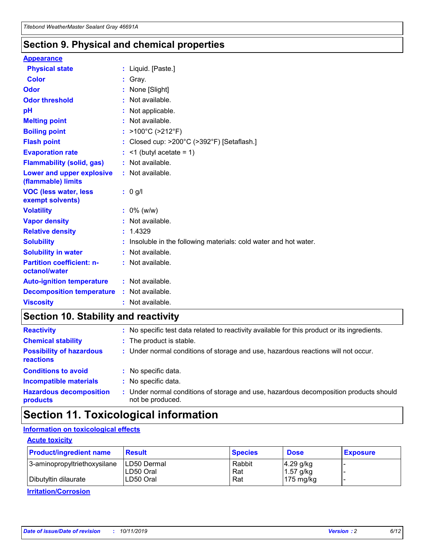### **Section 9. Physical and chemical properties**

#### **Appearance**

| <b>Physical state</b>                             | : Liquid. [Paste.]                                              |
|---------------------------------------------------|-----------------------------------------------------------------|
| Color                                             | Gray.                                                           |
| Odor                                              | None [Slight]                                                   |
| <b>Odor threshold</b>                             | : Not available.                                                |
| рH                                                | : Not applicable.                                               |
| <b>Melting point</b>                              | : Not available.                                                |
| <b>Boiling point</b>                              | : >100°C (>212°F)                                               |
| <b>Flash point</b>                                | : Closed cup: >200°C (>392°F) [Setaflash.]                      |
| <b>Evaporation rate</b>                           | $:$ <1 (butyl acetate = 1)                                      |
| <b>Flammability (solid, gas)</b>                  | : Not available.                                                |
| Lower and upper explosive<br>(flammable) limits   | : Not available.                                                |
| <b>VOC (less water, less</b><br>exempt solvents)  | : 0 g/l                                                         |
| <b>Volatility</b>                                 | $: 0\%$ (w/w)                                                   |
| <b>Vapor density</b>                              | : Not available.                                                |
| <b>Relative density</b>                           | : 1.4329                                                        |
| <b>Solubility</b>                                 | Insoluble in the following materials: cold water and hot water. |
| <b>Solubility in water</b>                        | : Not available.                                                |
| <b>Partition coefficient: n-</b><br>octanol/water | $:$ Not available.                                              |
| <b>Auto-ignition temperature</b>                  | : Not available.                                                |
| <b>Decomposition temperature</b>                  | : Not available.                                                |
|                                                   |                                                                 |

### **Section 10. Stability and reactivity**

| <b>Reactivity</b>                            |    | : No specific test data related to reactivity available for this product or its ingredients.            |
|----------------------------------------------|----|---------------------------------------------------------------------------------------------------------|
| <b>Chemical stability</b>                    |    | : The product is stable.                                                                                |
| <b>Possibility of hazardous</b><br>reactions |    | : Under normal conditions of storage and use, hazardous reactions will not occur.                       |
| <b>Conditions to avoid</b>                   |    | : No specific data.                                                                                     |
| <b>Incompatible materials</b>                | ٠. | No specific data.                                                                                       |
| <b>Hazardous decomposition</b><br>products   | ÷. | Under normal conditions of storage and use, hazardous decomposition products should<br>not be produced. |

### **Section 11. Toxicological information**

### **Information on toxicological effects**

#### **Acute toxicity**

| <b>Product/ingredient name</b> | <b>Result</b>           | <b>Species</b> | <b>Dose</b>                | <b>Exposure</b> |
|--------------------------------|-------------------------|----------------|----------------------------|-----------------|
| 3-aminopropyltriethoxysilane   | <b>ILD50 Dermal</b>     | Rabbit         | 4.29 g/kg                  |                 |
| Dibutyltin dilaurate           | ILD50 Oral<br>LD50 Oral | Rat<br>Rat     | $1.57$ g/kg<br>175 $mg/kg$ |                 |
|                                |                         |                |                            |                 |

**Irritation/Corrosion**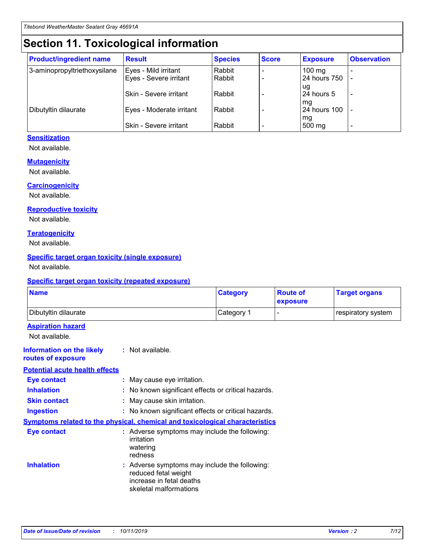## **Section 11. Toxicological information**

| <b>Product/ingredient name</b> | <b>Result</b>            | <b>Species</b> | <b>Score</b> | <b>Exposure</b>           | <b>Observation</b> |
|--------------------------------|--------------------------|----------------|--------------|---------------------------|--------------------|
| 3-aminopropyltriethoxysilane   | Eyes - Mild irritant     | Rabbit         |              | $100$ mg                  |                    |
|                                | Eyes - Severe irritant   | Rabbit         |              | 24 hours 750              |                    |
|                                |                          |                |              | ug                        |                    |
|                                | Skin - Severe irritant   | Rabbit         |              | 24 hours 5                | -                  |
| Dibutyltin dilaurate           | Eyes - Moderate irritant | Rabbit         |              | mg<br><b>24 hours 100</b> |                    |
|                                |                          |                |              | mg                        |                    |
|                                | Skin - Severe irritant   | Rabbit         |              | 500 mg                    | -                  |

#### **Sensitization**

Not available.

#### **Mutagenicity**

Not available.

#### **Carcinogenicity**

Not available.

#### **Reproductive toxicity**

Not available.

#### **Teratogenicity**

Not available.

#### **Specific target organ toxicity (single exposure)**

Not available.

#### **Specific target organ toxicity (repeated exposure)**

| <b>Name</b>                                                                  |                                                                                                                             | <b>Category</b> | <b>Route of</b><br>exposure  | <b>Target organs</b> |
|------------------------------------------------------------------------------|-----------------------------------------------------------------------------------------------------------------------------|-----------------|------------------------------|----------------------|
| Dibutyltin dilaurate                                                         |                                                                                                                             | Category 1      | $\qquad \qquad \blacksquare$ | respiratory system   |
| <b>Aspiration hazard</b><br>Not available.                                   |                                                                                                                             |                 |                              |                      |
| <b>Information on the likely</b><br>routes of exposure                       | : Not available.                                                                                                            |                 |                              |                      |
| <b>Potential acute health effects</b>                                        |                                                                                                                             |                 |                              |                      |
| <b>Eye contact</b>                                                           | : May cause eye irritation.                                                                                                 |                 |                              |                      |
| <b>Inhalation</b>                                                            | : No known significant effects or critical hazards.                                                                         |                 |                              |                      |
| <b>Skin contact</b>                                                          | : May cause skin irritation.                                                                                                |                 |                              |                      |
| <b>Ingestion</b>                                                             | : No known significant effects or critical hazards.                                                                         |                 |                              |                      |
| Symptoms related to the physical, chemical and toxicological characteristics |                                                                                                                             |                 |                              |                      |
| <b>Eye contact</b>                                                           | : Adverse symptoms may include the following:<br>irritation<br>watering<br>redness                                          |                 |                              |                      |
| <b>Inhalation</b>                                                            | : Adverse symptoms may include the following:<br>reduced fetal weight<br>increase in fetal deaths<br>skeletal malformations |                 |                              |                      |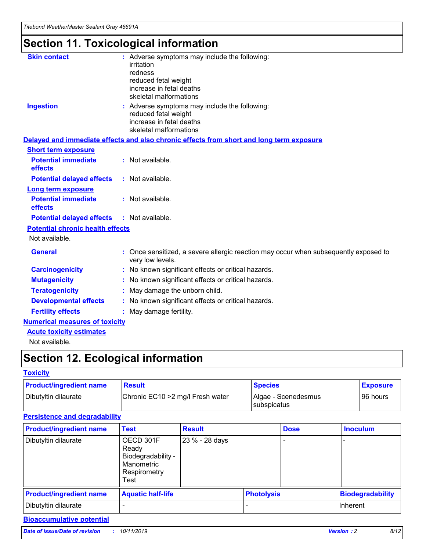## **Section 11. Toxicological information**

| <b>Skin contact</b>                     | : Adverse symptoms may include the following:                                                            |
|-----------------------------------------|----------------------------------------------------------------------------------------------------------|
|                                         | irritation                                                                                               |
|                                         | redness                                                                                                  |
|                                         | reduced fetal weight                                                                                     |
|                                         | increase in fetal deaths                                                                                 |
|                                         | skeletal malformations                                                                                   |
| <b>Ingestion</b>                        | : Adverse symptoms may include the following:                                                            |
|                                         | reduced fetal weight                                                                                     |
|                                         | increase in fetal deaths                                                                                 |
|                                         | skeletal malformations                                                                                   |
|                                         | Delayed and immediate effects and also chronic effects from short and long term exposure                 |
| <b>Short term exposure</b>              |                                                                                                          |
| <b>Potential immediate</b>              | : Not available.                                                                                         |
| effects                                 |                                                                                                          |
| <b>Potential delayed effects</b>        | : Not available.                                                                                         |
| Long term exposure                      |                                                                                                          |
| <b>Potential immediate</b>              | : Not available.                                                                                         |
| effects                                 |                                                                                                          |
| <b>Potential delayed effects</b>        | : Not available.                                                                                         |
| <b>Potential chronic health effects</b> |                                                                                                          |
| Not available.                          |                                                                                                          |
| <b>General</b>                          | : Once sensitized, a severe allergic reaction may occur when subsequently exposed to<br>very low levels. |
| <b>Carcinogenicity</b>                  | : No known significant effects or critical hazards.                                                      |
| <b>Mutagenicity</b>                     | : No known significant effects or critical hazards.                                                      |
| <b>Teratogenicity</b>                   | May damage the unborn child.                                                                             |
| <b>Developmental effects</b>            | : No known significant effects or critical hazards.                                                      |
| <b>Fertility effects</b>                | May damage fertility.                                                                                    |
| <b>Numerical measures of toxicity</b>   |                                                                                                          |
| <b>Acute toxicity estimates</b>         |                                                                                                          |
| الملحلة والمستحقق فالمرابط              |                                                                                                          |

Not available.

## **Section 12. Ecological information**

#### **Toxicity**

| <b>Product/ingredient name</b> | <b>Result</b>                     | <b>Species</b>                       | <b>Exposure</b> |
|--------------------------------|-----------------------------------|--------------------------------------|-----------------|
| Dibutyltin dilaurate           | Chronic EC10 > 2 mg/l Fresh water | Algae - Scenedesmus<br>I subspicatus | l 96 hours i    |

### **Persistence and degradability**

| <b>Product/ingredient name</b> | <b>Test</b>                                                                    | <b>Result</b>  |                   | <b>Dose</b> | <b>Inoculum</b>         |
|--------------------------------|--------------------------------------------------------------------------------|----------------|-------------------|-------------|-------------------------|
| Dibutyltin dilaurate           | OECD 301F<br>Ready<br>Biodegradability -<br>Manometric<br>Respirometry<br>Test | 23 % - 28 days |                   |             |                         |
| <b>Product/ingredient name</b> | <b>Aquatic half-life</b>                                                       |                | <b>Photolysis</b> |             | <b>Biodegradability</b> |
| Dibutyltin dilaurate           |                                                                                |                |                   |             | Inherent                |

### **Bioaccumulative potential**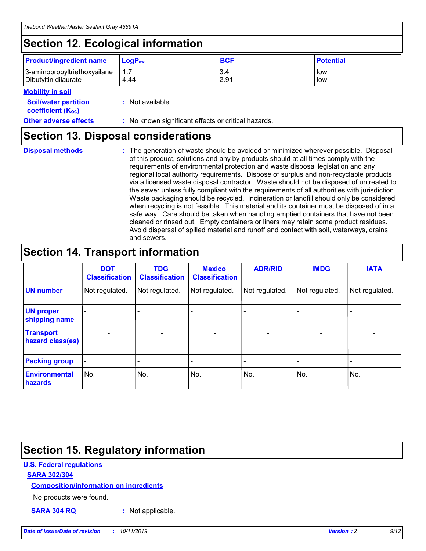## **Section 12. Ecological information**

| <b>Product/ingredient name</b> | $LoaPow$ | <b>BCF</b> | <b>Potential</b> |
|--------------------------------|----------|------------|------------------|
| 3-aminopropyltriethoxysilane   | 1.7      | 3.4        | low              |
| Dibutyltin dilaurate           | 4.44     | 2.91       | low              |

#### **Mobility in soil**

| <i></i>                                                       |                                                     |
|---------------------------------------------------------------|-----------------------------------------------------|
| <b>Soil/water partition</b><br>coefficient (K <sub>oc</sub> ) | : Not available.                                    |
| <b>Other adverse effects</b>                                  | : No known significant effects or critical hazards. |

### **Section 13. Disposal considerations**

**Disposal methods :**

The generation of waste should be avoided or minimized wherever possible. Disposal of this product, solutions and any by-products should at all times comply with the requirements of environmental protection and waste disposal legislation and any regional local authority requirements. Dispose of surplus and non-recyclable products via a licensed waste disposal contractor. Waste should not be disposed of untreated to the sewer unless fully compliant with the requirements of all authorities with jurisdiction. Waste packaging should be recycled. Incineration or landfill should only be considered when recycling is not feasible. This material and its container must be disposed of in a safe way. Care should be taken when handling emptied containers that have not been cleaned or rinsed out. Empty containers or liners may retain some product residues. Avoid dispersal of spilled material and runoff and contact with soil, waterways, drains and sewers.

## **Section 14. Transport information**

|                                      | <b>DOT</b><br><b>Classification</b> | <b>TDG</b><br><b>Classification</b> | <b>Mexico</b><br><b>Classification</b> | <b>ADR/RID</b>               | <b>IMDG</b>    | <b>IATA</b>    |
|--------------------------------------|-------------------------------------|-------------------------------------|----------------------------------------|------------------------------|----------------|----------------|
| <b>UN number</b>                     | Not regulated.                      | Not regulated.                      | Not regulated.                         | Not regulated.               | Not regulated. | Not regulated. |
| <b>UN proper</b><br>shipping name    |                                     |                                     |                                        |                              |                |                |
| <b>Transport</b><br>hazard class(es) | $\blacksquare$                      | $\overline{\phantom{0}}$            | $\overline{\phantom{a}}$               | $\qquad \qquad \blacksquare$ | $\blacksquare$ | $\blacksquare$ |
| <b>Packing group</b>                 | $\overline{\phantom{a}}$            | -                                   |                                        | -                            |                | -              |
| <b>Environmental</b><br>hazards      | No.                                 | No.                                 | No.                                    | No.                          | No.            | No.            |

## **Section 15. Regulatory information**

#### **U.S. Federal regulations**

#### **SARA 302/304**

#### **Composition/information on ingredients**

No products were found.

**SARA 304 RQ :** Not applicable.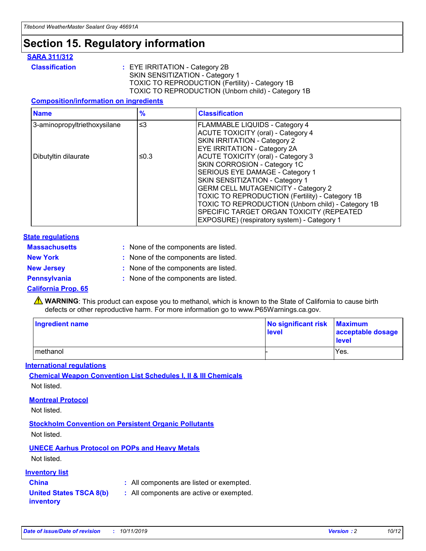## **Section 15. Regulatory information**

#### **SARA 311/312**

**Classification :** EYE IRRITATION - Category 2B SKIN SENSITIZATION - Category 1 TOXIC TO REPRODUCTION (Fertility) - Category 1B TOXIC TO REPRODUCTION (Unborn child) - Category 1B

#### **Composition/information on ingredients**

| <b>Name</b>                  | $\frac{9}{6}$ | <b>Classification</b>                                                                                            |
|------------------------------|---------------|------------------------------------------------------------------------------------------------------------------|
| 3-aminopropyltriethoxysilane | $\leq$ 3      | <b>FLAMMABLE LIQUIDS - Category 4</b><br><b>ACUTE TOXICITY (oral) - Category 4</b>                               |
|                              |               | SKIN IRRITATION - Category 2<br>EYE IRRITATION - Category 2A                                                     |
| Dibutyltin dilaurate         | ≤0.3          | ACUTE TOXICITY (oral) - Category 3<br>SKIN CORROSION - Category 1C                                               |
|                              |               | SERIOUS EYE DAMAGE - Category 1<br>SKIN SENSITIZATION - Category 1<br><b>GERM CELL MUTAGENICITY - Category 2</b> |
|                              |               | TOXIC TO REPRODUCTION (Fertility) - Category 1B<br>TOXIC TO REPRODUCTION (Unborn child) - Category 1B            |
|                              |               | SPECIFIC TARGET ORGAN TOXICITY (REPEATED<br>EXPOSURE) (respiratory system) - Category 1                          |

#### **State regulations**

| <b>Massachusetts</b> | : None of the components are listed. |
|----------------------|--------------------------------------|
| <b>New York</b>      | : None of the components are listed. |
| <b>New Jersey</b>    | : None of the components are listed. |
| <b>Pennsylvania</b>  | : None of the components are listed. |

#### **California Prop. 65**

**A** WARNING: This product can expose you to methanol, which is known to the State of California to cause birth defects or other reproductive harm. For more information go to www.P65Warnings.ca.gov.

| <b>Ingredient name</b> | No significant risk Maximum<br>level | acceptable dosage<br>level |
|------------------------|--------------------------------------|----------------------------|
| methanol               |                                      | Yes.                       |

#### **International regulations**

**Chemical Weapon Convention List Schedules I, II & III Chemicals** Not listed.

#### **Montreal Protocol**

Not listed.

#### **Stockholm Convention on Persistent Organic Pollutants**

Not listed.

### **UNECE Aarhus Protocol on POPs and Heavy Metals**

Not listed.

#### **Inventory list**

### **China :** All components are listed or exempted.

**United States TSCA 8(b) inventory :** All components are active or exempted.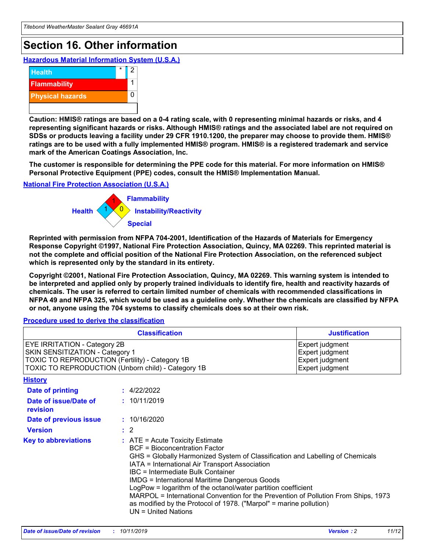## **Section 16. Other information**

**Hazardous Material Information System (U.S.A.)**



**Caution: HMIS® ratings are based on a 0-4 rating scale, with 0 representing minimal hazards or risks, and 4 representing significant hazards or risks. Although HMIS® ratings and the associated label are not required on SDSs or products leaving a facility under 29 CFR 1910.1200, the preparer may choose to provide them. HMIS® ratings are to be used with a fully implemented HMIS® program. HMIS® is a registered trademark and service mark of the American Coatings Association, Inc.**

**The customer is responsible for determining the PPE code for this material. For more information on HMIS® Personal Protective Equipment (PPE) codes, consult the HMIS® Implementation Manual.**

#### **National Fire Protection Association (U.S.A.)**



**Reprinted with permission from NFPA 704-2001, Identification of the Hazards of Materials for Emergency Response Copyright ©1997, National Fire Protection Association, Quincy, MA 02269. This reprinted material is not the complete and official position of the National Fire Protection Association, on the referenced subject which is represented only by the standard in its entirety.**

**Copyright ©2001, National Fire Protection Association, Quincy, MA 02269. This warning system is intended to be interpreted and applied only by properly trained individuals to identify fire, health and reactivity hazards of chemicals. The user is referred to certain limited number of chemicals with recommended classifications in NFPA 49 and NFPA 325, which would be used as a guideline only. Whether the chemicals are classified by NFPA or not, anyone using the 704 systems to classify chemicals does so at their own risk.**

#### **Procedure used to derive the classification**

| <b>Classification</b>                                                                                                                                                                  |                                                                                                                                                                                                                                                                   | <b>Justification</b>                                                                                                                                                                                                                                                                                       |  |
|----------------------------------------------------------------------------------------------------------------------------------------------------------------------------------------|-------------------------------------------------------------------------------------------------------------------------------------------------------------------------------------------------------------------------------------------------------------------|------------------------------------------------------------------------------------------------------------------------------------------------------------------------------------------------------------------------------------------------------------------------------------------------------------|--|
| <b>EYE IRRITATION - Category 2B</b><br>SKIN SENSITIZATION - Category 1<br><b>TOXIC TO REPRODUCTION (Fertility) - Category 1B</b><br>TOXIC TO REPRODUCTION (Unborn child) - Category 1B |                                                                                                                                                                                                                                                                   | Expert judgment<br>Expert judgment<br>Expert judgment<br>Expert judgment                                                                                                                                                                                                                                   |  |
| <b>History</b>                                                                                                                                                                         |                                                                                                                                                                                                                                                                   |                                                                                                                                                                                                                                                                                                            |  |
| <b>Date of printing</b>                                                                                                                                                                | : 4/22/2022                                                                                                                                                                                                                                                       |                                                                                                                                                                                                                                                                                                            |  |
| Date of issue/Date of<br>revision                                                                                                                                                      | : 10/11/2019                                                                                                                                                                                                                                                      |                                                                                                                                                                                                                                                                                                            |  |
| Date of previous issue                                                                                                                                                                 | : 10/16/2020                                                                                                                                                                                                                                                      |                                                                                                                                                                                                                                                                                                            |  |
| <b>Version</b>                                                                                                                                                                         | $\therefore$ 2                                                                                                                                                                                                                                                    |                                                                                                                                                                                                                                                                                                            |  |
| <b>Key to abbreviations</b>                                                                                                                                                            | $\therefore$ ATE = Acute Toxicity Estimate<br><b>BCF</b> = Bioconcentration Factor<br>IATA = International Air Transport Association<br><b>IBC</b> = Intermediate Bulk Container<br><b>IMDG = International Maritime Dangerous Goods</b><br>$UN = United Nations$ | GHS = Globally Harmonized System of Classification and Labelling of Chemicals<br>LogPow = logarithm of the octanol/water partition coefficient<br>MARPOL = International Convention for the Prevention of Pollution From Ships, 1973<br>as modified by the Protocol of 1978. ("Marpol" = marine pollution) |  |